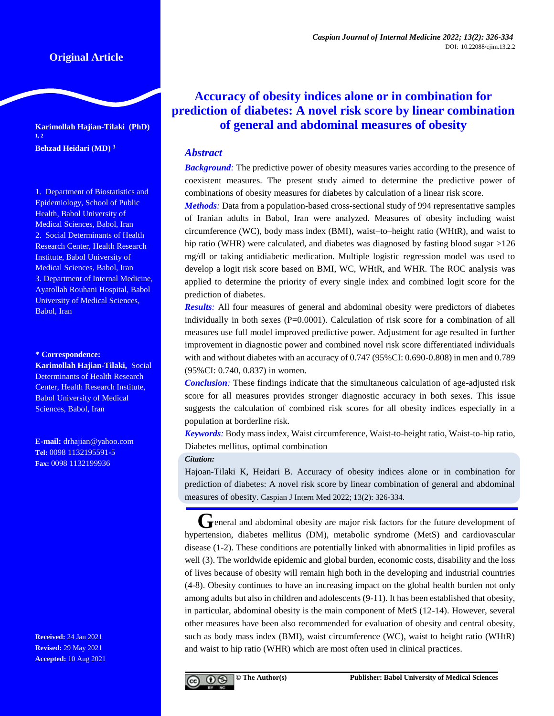**Karimollah Hajian-Tilaki (PhD) 1, 2 Behzad Heidari (MD) <sup>3</sup>**

1. Department of Biostatistics and Epidemiology, School of Public Health, Babol University of Medical Sciences, Babol, Iran 2. Social Determinants of Health Research Center, Health Research Institute, Babol University of Medical Sciences, Babol, Iran 3. Department of Internal Medicine, Ayatollah Rouhani Hospital, Babol University of Medical Sciences, Babol, Iran

**\* Correspondence:**

**Karimollah Hajian-Tilaki,** Social Determinants of Health Research Center, Health Research Institute, Babol University of Medical Sciences, Babol, Iran

**E-mail:** drhajian@yahoo.com **Tel:** 0098 1132195591-5 **Fax:** 0098 1132199936

**Received:** 24 Jan 2021 **Revised:** 29 May 2021 **Accepted:** 10 Aug 2021

# **Accuracy of obesity indices alone or in combination for prediction of diabetes: A novel risk score by linear combination of general and abdominal measures of obesity**

# *Abstract*

**Background**: The predictive power of obesity measures varies according to the presence of coexistent measures. The present study aimed to determine the predictive power of combinations of obesity measures for diabetes by calculation of a linear risk score.

*Methods:* Data from a population-based cross-sectional study of 994 representative samples of Iranian adults in Babol, Iran were analyzed. Measures of obesity including waist circumference (WC), body mass index (BMI), waist–to–height ratio (WHtR), and waist to hip ratio (WHR) were calculated, and diabetes was diagnosed by fasting blood sugar  $\geq$ 126 mg/dl or taking antidiabetic medication. Multiple logistic regression model was used to develop a logit risk score based on BMI, WC, WHtR, and WHR. The ROC analysis was applied to determine the priority of every single index and combined logit score for the prediction of diabetes.

*Results:* All four measures of general and abdominal obesity were predictors of diabetes individually in both sexes  $(P=0.0001)$ . Calculation of risk score for a combination of all measures use full model improved predictive power. Adjustment for age resulted in further improvement in diagnostic power and combined novel risk score differentiated individuals with and without diabetes with an accuracy of 0.747 (95%CI: 0.690-0.808) in men and 0.789 (95%CI: 0.740, 0.837) in women.

*Conclusion:* These findings indicate that the simultaneous calculation of age-adjusted risk score for all measures provides stronger diagnostic accuracy in both sexes. This issue suggests the calculation of combined risk scores for all obesity indices especially in a population at borderline risk.

*Keywords:* Body mass index, Waist circumference, Waist-to-height ratio, Waist-to-hip ratio, Diabetes mellitus, optimal combination

*Citation:*

Hajoan-Tilaki K, Heidari B. Accuracy of obesity indices alone or in combination for prediction of diabetes: A novel risk score by linear combination of general and abdominal measures of obesity. Caspian J Intern Med 2022; 13(2): 326-334.

**G**eneral and abdominal obesity are major risk factors for the future development of hypertension, diabetes mellitus (DM), metabolic syndrome (MetS) and cardiovascular disease (1-2). These conditions are potentially linked with abnormalities in lipid profiles as well (3). The worldwide epidemic and global burden, economic costs, disability and the loss of lives because of obesity will remain high both in the developing and industrial countries (4-8). Obesity continues to have an increasing impact on the global health burden not only among adults but also in children and adolescents (9-11). It has been established that obesity, in particular, abdominal obesity is the main component of MetS (12-14). However, several other measures have been also recommended for evaluation of obesity and central obesity, such as body mass index (BMI), waist circumference (WC), waist to height ratio (WHtR) and waist to hip ratio (WHR) which are most often used in clinical practices.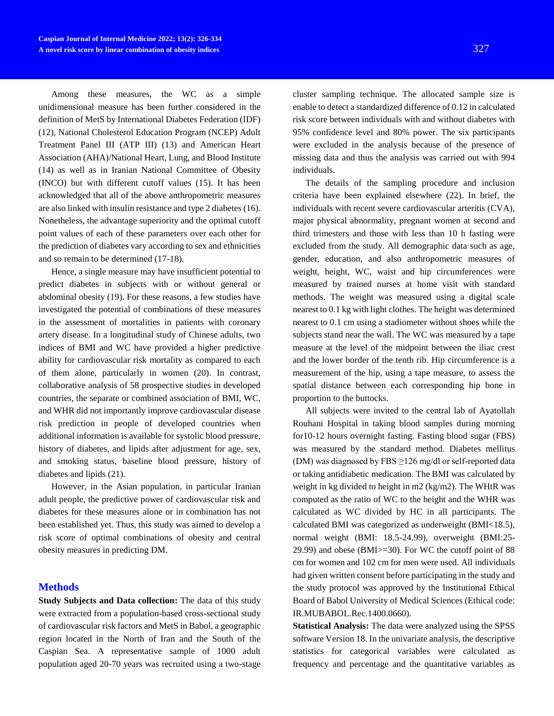Among these measures, the WC as a simple unidimensional measure has been further considered in the definition of MetS by International Diabetes Federation (IDF) (12), National Cholesterol Education Program (NCEP) Adult Treatment Panel III (ATP III) (13) and American Heart Association (AHA)/National Heart, Lung, and Blood Institute (14) as well as in Iranian National Committee of Obesity (INCO) but with different cutoff values (15). It has been acknowledged that all of the above anthropometric measures are also linked with insulin resistance and type 2 diabetes (16). Nonetheless, the advantage superiority and the optimal cutoff point values of each of these parameters over each other for the prediction of diabetes vary according to sex and ethnicities and so remain to be determined (17-18).

Hence, a single measure may have insufficient potential to predict diabetes in subjects with or without general or abdominal obesity (19). For these reasons, a few studies have investigated the potential of combinations of these measures in the assessment of mortalities in patients with coronary artery disease. In a longitudinal study of Chinese adults, two indices of BMI and WC have provided a higher predictive ability for cardiovascular risk mortality as compared to each of them alone, particularly in women (20). In contrast, collaborative analysis of 58 prospective studies in developed countries, the separate or combined association of BMI, WC, and WHR did not importantly improve cardiovascular disease risk prediction in people of developed countries when additional information is available for systolic blood pressure, history of diabetes, and lipids after adjustment for age, sex, and smoking status, baseline blood pressure, history of diabetes and lipids (21).

However, in the Asian population, in particular Iranian adult people, the predictive power of cardiovascular risk and diabetes for these measures alone or in combination has not been established yet. Thus, this study was aimed to develop a risk score of optimal combinations of obesity and central obesity measures in predicting DM.

## **Methods**

**Study Subjects and Data collection:** The data of this study were extracted from a population-based cross-sectional study of cardiovascular risk factors and MetS in Babol, a geographic region located in the North of Iran and the South of the Caspian Sea. A representative sample of 1000 adult population aged 20-70 years was recruited using a two-stage cluster sampling technique. The allocated sample size is enable to detect a standardized difference of 0.12 in calculated risk score between individuals with and without diabetes with 95% confidence level and 80% power. The six participants were excluded in the analysis because of the presence of missing data and thus the analysis was carried out with 994 individuals.

The details of the sampling procedure and inclusion criteria have been explained elsewhere (22). In brief, the individuals with recent severe cardiovascular arteritis (CVA), major physical abnormality, pregnant women at second and third trimesters and those with less than 10 h fasting were excluded from the study. All demographic data such as age, gender, education, and also anthropometric measures of weight, height, WC, waist and hip circumferences were measured by trained nurses at home visit with standard methods. The weight was measured using a digital scale nearest to 0.1 kg with light clothes. The height was determined nearest to 0.1 cm using a stadiometer without shoes while the subjects stand near the wall. The WC was measured by a tape measure at the level of the midpoint between the iliac crest and the lower border of the tenth rib. Hip circumference is a measurement of the hip, using a tape measure, to assess the spatial distance between each corresponding hip bone in proportion to the buttocks.

All subjects were invited to the central lab of Ayatollah Rouhani Hospital in taking blood samples during morning for10-12 hours overnight fasting. Fasting blood sugar (FBS) was measured by the standard method. Diabetes mellitus (DM) was diagnosed by FBS  $\geq$ 126 mg/dl or self-reported data or taking antidiabetic medication. The BMI was calculated by weight in kg divided to height in m2 (kg/m2). The WHtR was computed as the ratio of WC to the height and the WHR was calculated as WC divided by HC in all participants. The calculated BMI was categorized as underweight (BMI<18.5), normal weight (BMI: 18.5-24.99), overweight (BMI:25- 29.99) and obese (BMI>=30). For WC the cutoff point of 88 cm for women and 102 cm for men were used. All individuals had given written consent before participating in the study and the study protocol was approved by the Institutional Ethical Board of Babol University of Medical Sciences (Ethical code: IR.MUBABOL.Rec.1400.0660).

**Statistical Analysis:** The data were analyzed using the SPSS software Version 18. In the univariate analysis, the descriptive statistics for categorical variables were calculated as frequency and percentage and the quantitative variables as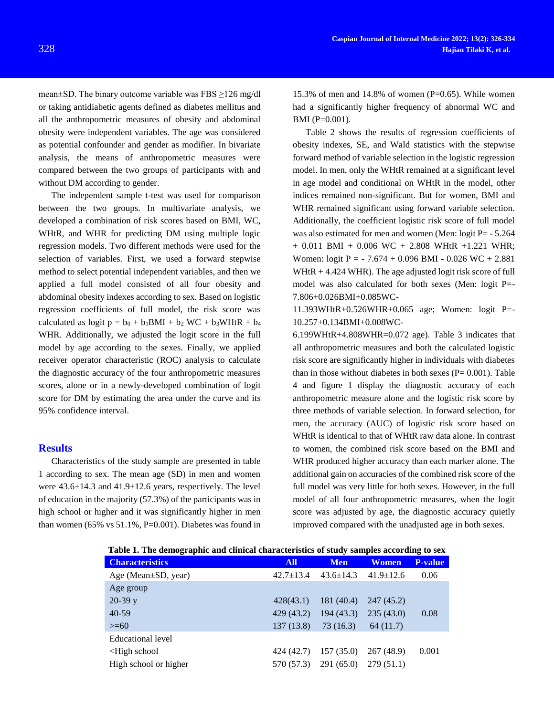mean±SD. The binary outcome variable was FBS ≥126 mg/dl or taking antidiabetic agents defined as diabetes mellitus and all the anthropometric measures of obesity and abdominal obesity were independent variables. The age was considered BMI (P=0.001).

as potential confounder and gender as modifier. In bivariate analysis, the means of anthropometric measures were compared between the two groups of participants with and without DM according to gender.

The independent sample t-test was used for comparison between the two groups. In multivariate analysis, we developed a combination of risk scores based on BMI, WC, WHtR, and WHR for predicting DM using multiple logic regression models. Two different methods were used for the selection of variables. First, we used a forward stepwise method to select potential independent variables, and then we applied a full model consisted of all four obesity and abdominal obesity indexes according to sex. Based on logistic regression coefficients of full model, the risk score was calculated as logit  $p = b_0 + b_1 BMI + b_2 WC + b_3WHtR + b_4$ WHR. Additionally, we adjusted the logit score in the full model by age according to the sexes. Finally, we applied receiver operator characteristic (ROC) analysis to calculate the diagnostic accuracy of the four anthropometric measures scores, alone or in a newly-developed combination of logit score for DM by estimating the area under the curve and its 95% confidence interval.

#### **Results**

Characteristics of the study sample are presented in table 1 according to sex. The mean age (SD) in men and women were 43.6±14.3 and 41.9±12.6 years, respectively. The level of education in the majority (57.3%) of the participants was in high school or higher and it was significantly higher in men than women (65% vs  $51.1\%$ , P=0.001). Diabetes was found in

Table 2 shows the results of regression coefficients of obesity indexes, SE, and Wald statistics with the stepwise forward method of variable selection in the logistic regression model. In men, only the WHtR remained at a significant level in age model and conditional on WHtR in the model, other indices remained non-significant. But for women, BMI and WHR remained significant using forward variable selection. Additionally, the coefficient logistic risk score of full model was also estimated for men and women (Men: logit P= - 5.264  $+ 0.011$  BMI  $+ 0.006$  WC  $+ 2.808$  WHtR  $+1.221$  WHR; Women: logit P = - 7.674 + 0.096 BMI - 0.026 WC + 2.881 WHtR  $+ 4.424$  WHR). The age adjusted logit risk score of full model was also calculated for both sexes (Men: logit P=- 7.806+0.026BMI+0.085WC-

11.393WHtR+0.526WHR+0.065 age; Women: logit P=- 10.257+0.134BMI+0.008WC-

6.199WHtR+4.808WHR=0.072 age). Table 3 indicates that all anthropometric measures and both the calculated logistic risk score are significantly higher in individuals with diabetes than in those without diabetes in both sexes  $(P= 0.001)$ . Table 4 and figure 1 display the diagnostic accuracy of each anthropometric measure alone and the logistic risk score by three methods of variable selection. In forward selection, for men, the accuracy (AUC) of logistic risk score based on WHtR is identical to that of WHtR raw data alone. In contrast to women, the combined risk score based on the BMI and WHR produced higher accuracy than each marker alone. The additional gain on accuracies of the combined risk score of the full model was very little for both sexes. However, in the full model of all four anthropometric measures, when the logit score was adjusted by age, the diagnostic accuracy quietly improved compared with the unadjusted age in both sexes.

| Table 1. The achieveraphic and emilical enargeteristics of study samples according to sex |                 |                 |                 |                |
|-------------------------------------------------------------------------------------------|-----------------|-----------------|-----------------|----------------|
| <b>Characteristics</b>                                                                    | <b>All</b>      | <b>Men</b>      | <b>Women</b>    | <b>P-value</b> |
| Age (Mean $\pm$ SD, year)                                                                 | $42.7 \pm 13.4$ | $43.6 \pm 14.3$ | $41.9 \pm 12.6$ | 0.06           |
| Age group                                                                                 |                 |                 |                 |                |
| $20-39y$                                                                                  | 428(43.1)       | 181 (40.4)      | 247(45.2)       |                |
| $40-59$                                                                                   | 429 (43.2)      | 194(43.3)       | 235(43.0)       | 0.08           |
| $>= 60$                                                                                   | 137(13.8)       | 73 (16.3)       | 64 (11.7)       |                |
| Educational level                                                                         |                 |                 |                 |                |
| $\leq$ High school                                                                        | 424 (42.7)      | 157(35.0)       | 267 (48.9)      | 0.001          |
| High school or higher                                                                     | 570 (57.3)      | 291 (65.0)      | 279 (51.1)      |                |

**Table 1. The demographic and clinical characteristics of study samples according to sex**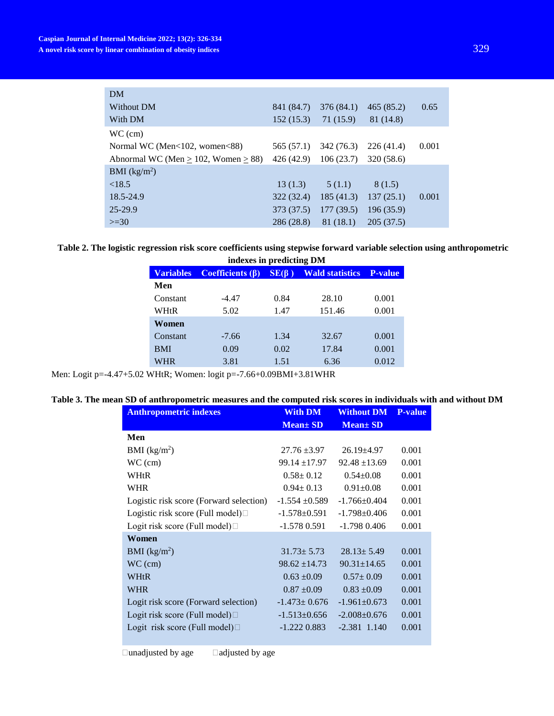| DM                                        |            |            |            |       |
|-------------------------------------------|------------|------------|------------|-------|
| Without DM                                | 841 (84.7) | 376 (84.1) | 465(85.2)  | 0.65  |
| With DM                                   | 152(15.3)  | 71 (15.9)  | 81 (14.8)  |       |
| $WC$ (cm)                                 |            |            |            |       |
| Normal WC (Men<102, women<88)             | 565 (57.1) | 342 (76.3) | 226(41.4)  | 0.001 |
| Abnormal WC (Men $> 102$ , Women $> 88$ ) | 426 (42.9) | 106(23.7)  | 320 (58.6) |       |
| BMI (kg/m <sup>2</sup> )                  |            |            |            |       |
| < 18.5                                    | 13(1.3)    | 5(1.1)     | 8 (1.5)    |       |
| 18.5-24.9                                 | 322(32.4)  | 185(41.3)  | 137(25.1)  | 0.001 |
| $25 - 29.9$                               | 373 (37.5) | 177(39.5)  | 196(35.9)  |       |
| $>=30$                                    | 286 (28.8) | 81(18.1)   | 205(37.5)  |       |

**Table 2. The logistic regression risk score coefficients using stepwise forward variable selection using anthropometric** 

| indexes in predicting DM |                         |             |                        |         |
|--------------------------|-------------------------|-------------|------------------------|---------|
| <b>Variables</b>         | <b>Coefficients (B)</b> | $SE(\beta)$ | <b>Wald statistics</b> | P-value |
| Men                      |                         |             |                        |         |
| Constant                 | $-4.47$                 | 0.84        | 28.10                  | 0.001   |
| WHtR                     | 5.02                    | 1.47        | 151.46                 | 0.001   |
| Women                    |                         |             |                        |         |
| Constant                 | $-7.66$                 | 1.34        | 32.67                  | 0.001   |
| <b>BMI</b>               | 0.09                    | 0.02        | 17.84                  | 0.001   |
| WHR                      | 3.81                    | 1.51        | 6.36                   | 0.012   |

Men: Logit p=-4.47+5.02 WHtR; Women: logit p=-7.66+0.09BMI+3.81WHR

# **Table 3. The mean SD of anthropometric measures and the computed risk scores in individuals with and without DM**

| <b>Anthropometric indexes</b>           | <b>With DM</b>     | <b>Without DM</b>  | <b>P-value</b> |
|-----------------------------------------|--------------------|--------------------|----------------|
|                                         | $Mean \pm SD$      | $Mean \pm SD$      |                |
| Men                                     |                    |                    |                |
| BMI (kg/m <sup>2</sup> )                | $27.76 \pm 3.97$   | $26.19 + 4.97$     | 0.001          |
| $WC$ (cm)                               | $99.14 \pm 17.97$  | $92.48 \pm 13.69$  | 0.001          |
| <b>WHtR</b>                             | $0.58 \pm 0.12$    | $0.54 + 0.08$      | 0.001          |
| <b>WHR</b>                              | $0.94 \pm 0.13$    | $0.91 \pm 0.08$    | 0.001          |
| Logistic risk score (Forward selection) | $-1.554 + 0.589$   | $-1.766 \pm 0.404$ | 0.001          |
| Logistic risk score (Full model) $\Box$ | $-1.578 \pm 0.591$ | $-1.798 \pm 0.406$ | 0.001          |
| Logit risk score (Full model) $\Box$    | $-1.5780.591$      | $-1.7980.406$      | 0.001          |
| Women                                   |                    |                    |                |
| BMI $(kg/m2)$                           | $31.73 \pm 5.73$   | $28.13 \pm 5.49$   | 0.001          |
| $WC$ (cm)                               | $98.62 + 14.73$    | $90.31 \pm 14.65$  | 0.001          |
| <b>WHtR</b>                             | $0.63 \pm 0.09$    | $0.57 \pm 0.09$    | 0.001          |
| <b>WHR</b>                              | $0.87 \pm 0.09$    | $0.83 \pm 0.09$    | 0.001          |
| Logit risk score (Forward selection)    | $-1.473 \pm 0.676$ | $-1.961 \pm 0.673$ | 0.001          |
| Logit risk score (Full model) $\Box$    | $-1.513 \pm 0.656$ | $-2.008 \pm 0.676$ | 0.001          |
| Logit risk score (Full model) $\Box$    | $-1.2220.883$      | $-2.381$ 1.140     | 0.001          |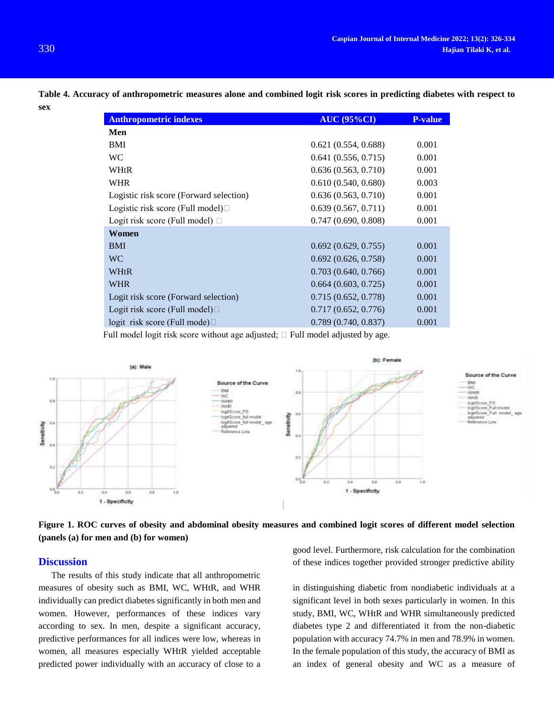| <b>Anthropometric indexes</b>           | <b>AUC (95%CI)</b>  | <b>P-value</b> |
|-----------------------------------------|---------------------|----------------|
| Men                                     |                     |                |
| BMI                                     | 0.621(0.554, 0.688) | 0.001          |
| <b>WC</b>                               | 0.641(0.556, 0.715) | 0.001          |
| WHtR                                    | 0.636(0.563, 0.710) | 0.001          |
| <b>WHR</b>                              | 0.610(0.540, 0.680) | 0.003          |
| Logistic risk score (Forward selection) | 0.636(0.563, 0.710) | 0.001          |
| Logistic risk score (Full model) $\Box$ | 0.639(0.567, 0.711) | 0.001          |
| Logit risk score (Full model) $\Box$    | 0.747(0.690, 0.808) | 0.001          |
| Women                                   |                     |                |
| <b>BMI</b>                              | 0.692(0.629, 0.755) | 0.001          |
| <b>WC</b>                               | 0.692(0.626, 0.758) | 0.001          |
| <b>WHtR</b>                             | 0.703(0.640, 0.766) | 0.001          |
| <b>WHR</b>                              | 0.664(0.603, 0.725) | 0.001          |
| Logit risk score (Forward selection)    | 0.715(0.652, 0.778) | 0.001          |
| Logit risk score (Full model) $\Box$    | 0.717(0.652, 0.776) | 0.001          |
| logit risk score (Full mode) $\Box$     | 0.789(0.740, 0.837) | 0.001          |

**Table 4. Accuracy of anthropometric measures alone and combined logit risk scores in predicting diabetes with respect to sex**

Full model logit risk score without age adjusted;  $\Box$  Full model adjusted by age.



**Figure 1. ROC curves of obesity and abdominal obesity measures and combined logit scores of different model selection (panels (a) for men and (b) for women)**

#### **Discussion**

The results of this study indicate that all anthropometric measures of obesity such as BMI, WC, WHtR, and WHR individually can predict diabetes significantly in both men and women. However, performances of these indices vary according to sex. In men, despite a significant accuracy, predictive performances for all indices were low, whereas in women, all measures especially WHtR yielded acceptable predicted power individually with an accuracy of close to a good level. Furthermore, risk calculation for the combination of these indices together provided stronger predictive ability

in distinguishing diabetic from nondiabetic individuals at a significant level in both sexes particularly in women. In this study, BMI, WC, WHtR and WHR simultaneously predicted diabetes type 2 and differentiated it from the non-diabetic population with accuracy 74.7% in men and 78.9% in women. In the female population of this study, the accuracy of BMI as an index of general obesity and WC as a measure of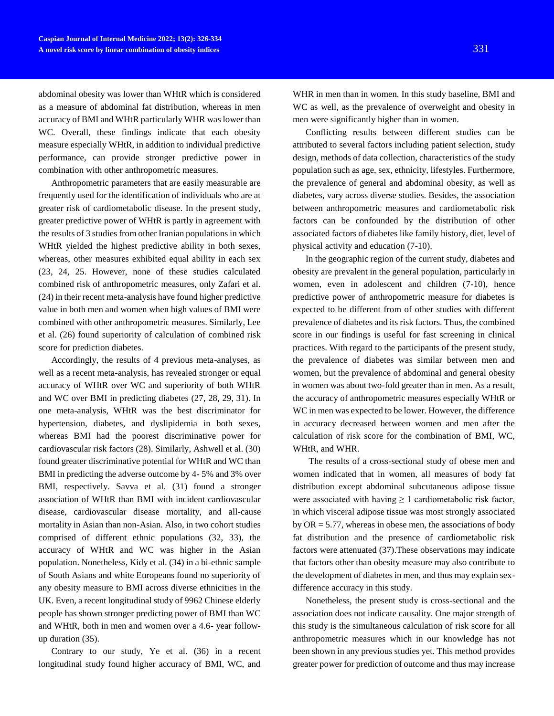abdominal obesity was lower than WHtR which is considered as a measure of abdominal fat distribution, whereas in men accuracy of BMI and WHtR particularly WHR was lower than WC. Overall, these findings indicate that each obesity measure especially WHtR, in addition to individual predictive performance, can provide stronger predictive power in combination with other anthropometric measures.

Anthropometric parameters that are easily measurable are frequently used for the identification of individuals who are at greater risk of cardiometabolic disease. In the present study, greater predictive power of WHtR is partly in agreement with the results of 3 studies from other Iranian populations in which WHtR yielded the highest predictive ability in both sexes, whereas, other measures exhibited equal ability in each sex (23, 24, 25. However, none of these studies calculated combined risk of anthropometric measures, only Zafari et al. (24) in their recent meta-analysis have found higher predictive value in both men and women when high values of BMI were combined with other anthropometric measures. Similarly, Lee et al. (26) found superiority of calculation of combined risk score for prediction diabetes.

Accordingly, the results of 4 previous meta-analyses, as well as a recent meta-analysis, has revealed stronger or equal accuracy of WHtR over WC and superiority of both WHtR and WC over BMI in predicting diabetes (27, 28, 29, 31). In one meta-analysis, WHtR was the best discriminator for hypertension, diabetes, and dyslipidemia in both sexes, whereas BMI had the poorest discriminative power for cardiovascular risk factors (28). Similarly, Ashwell et al. (30) found greater discriminative potential for WHtR and WC than BMI in predicting the adverse outcome by 4- 5% and 3% over BMI, respectively. Savva et al. (31) found a stronger association of WHtR than BMI with incident cardiovascular disease, cardiovascular disease mortality, and all-cause mortality in Asian than non-Asian. Also, in two cohort studies comprised of different ethnic populations (32, 33), the accuracy of WHtR and WC was higher in the Asian population. Nonetheless, Kidy et al. (34) in a bi-ethnic sample of South Asians and white Europeans found no superiority of any obesity measure to BMI across diverse ethnicities in the UK. Even, a recent longitudinal study of 9962 Chinese elderly people has shown stronger predicting power of BMI than WC and WHtR, both in men and women over a 4.6- year followup duration (35).

Contrary to our study, Ye et al. (36) in a recent longitudinal study found higher accuracy of BMI, WC, and WHR in men than in women. In this study baseline, BMI and WC as well, as the prevalence of overweight and obesity in men were significantly higher than in women.

Conflicting results between different studies can be attributed to several factors including patient selection, study design, methods of data collection, characteristics of the study population such as age, sex, ethnicity, lifestyles. Furthermore, the prevalence of general and abdominal obesity, as well as diabetes, vary across diverse studies. Besides, the association between anthropometric measures and cardiometabolic risk factors can be confounded by the distribution of other associated factors of diabetes like family history, diet, level of physical activity and education (7-10).

In the geographic region of the current study, diabetes and obesity are prevalent in the general population, particularly in women, even in adolescent and children (7-10), hence predictive power of anthropometric measure for diabetes is expected to be different from of other studies with different prevalence of diabetes and its risk factors. Thus, the combined score in our findings is useful for fast screening in clinical practices. With regard to the participants of the present study, the prevalence of diabetes was similar between men and women, but the prevalence of abdominal and general obesity in women was about two-fold greater than in men. As a result, the accuracy of anthropometric measures especially WHtR or WC in men was expected to be lower. However, the difference in accuracy decreased between women and men after the calculation of risk score for the combination of BMI, WC, WHtR, and WHR.

The results of a cross-sectional study of obese men and women indicated that in women, all measures of body fat distribution except abdominal subcutaneous adipose tissue were associated with having  $\geq 1$  cardiometabolic risk factor, in which visceral adipose tissue was most strongly associated by  $OR = 5.77$ , whereas in obese men, the associations of body fat distribution and the presence of cardiometabolic risk factors were attenuated (37).These observations may indicate that factors other than obesity measure may also contribute to the development of diabetes in men, and thus may explain sexdifference accuracy in this study.

Nonetheless, the present study is cross-sectional and the association does not indicate causality. One major strength of this study is the simultaneous calculation of risk score for all anthropometric measures which in our knowledge has not been shown in any previous studies yet. This method provides greater power for prediction of outcome and thus may increase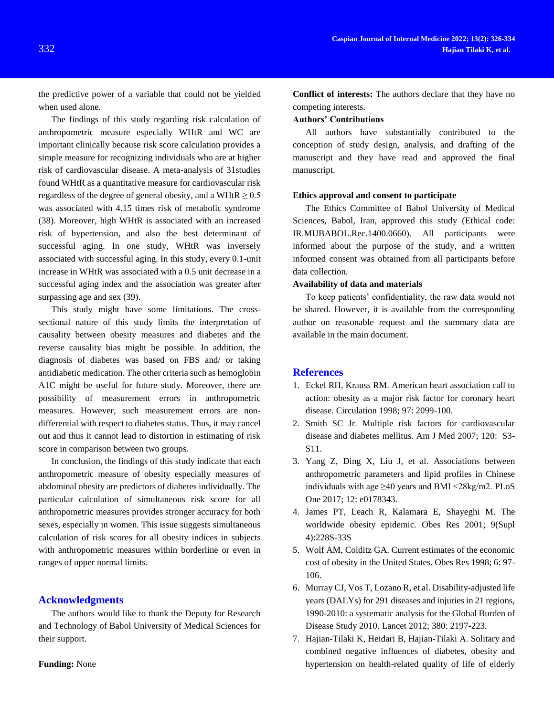the predictive power of a variable that could not be yielded when used alone.

The findings of this study regarding risk calculation of anthropometric measure especially WHtR and WC are important clinically because risk score calculation provides a simple measure for recognizing individuals who are at higher risk of cardiovascular disease. A meta-analysis of 31studies found WHtR as a quantitative measure for cardiovascular risk regardless of the degree of general obesity, and a WHtR  $\geq 0.5$ was associated with 4.15 times risk of metabolic syndrome (38). Moreover, high WHtR is associated with an increased risk of hypertension, and also the best determinant of successful aging. In one study, WHtR was inversely associated with successful aging. In this study, every 0.1-unit increase in WHtR was associated with a 0.5 unit decrease in a successful aging index and the association was greater after surpassing age and sex (39).

This study might have some limitations. The crosssectional nature of this study limits the interpretation of causality between obesity measures and diabetes and the reverse causality bias might be possible. In addition, the diagnosis of diabetes was based on FBS and/ or taking antidiabetic medication. The other criteria such as hemoglobin A1C might be useful for future study. Moreover, there are possibility of measurement errors in anthropometric measures. However, such measurement errors are nondifferential with respect to diabetes status. Thus, it may cancel out and thus it cannot lead to distortion in estimating of risk score in comparison between two groups.

In conclusion, the findings of this study indicate that each anthropometric measure of obesity especially measures of abdominal obesity are predictors of diabetes individually. The particular calculation of simultaneous risk score for all anthropometric measures provides stronger accuracy for both sexes, especially in women. This issue suggests simultaneous calculation of risk scores for all obesity indices in subjects with anthropometric measures within borderline or even in ranges of upper normal limits.

## **Acknowledgments**

The authors would like to thank the Deputy for Research and Technology of Babol University of Medical Sciences for their support.

**Funding:** None

**Conflict of interests:** The authors declare that they have no competing interests.

#### **Authors' Contributions**

All authors have substantially contributed to the conception of study design, analysis, and drafting of the manuscript and they have read and approved the final manuscript.

#### **Ethics approval and consent to participate**

The Ethics Committee of Babol University of Medical Sciences, Babol, Iran, approved this study (Ethical code: IR.MUBABOL.Rec.1400.0660). All participants were informed about the purpose of the study, and a written informed consent was obtained from all participants before data collection.

#### **Availability of data and materials**

To keep patients' confidentiality, the raw data would not be shared. However, it is available from the corresponding author on reasonable request and the summary data are available in the main document.

## **References**

- 1. Eckel RH, Krauss RM. American heart association call to action: obesity as a major risk factor for coronary heart disease. Circulation 1998; 97: 2099-100.
- 2. Smith SC Jr. Multiple risk factors for cardiovascular disease and diabetes mellitus. Am J Med 2007; 120: S3- S11.
- 3. [Yang Z,](https://www.ncbi.nlm.nih.gov/pubmed/?term=Yang%20Z%5BAuthor%5D&cauthor=true&cauthor_uid=28632766) [Ding X,](https://www.ncbi.nlm.nih.gov/pubmed/?term=Ding%20X%5BAuthor%5D&cauthor=true&cauthor_uid=28632766) [Liu J,](https://www.ncbi.nlm.nih.gov/pubmed/?term=Liu%20J%5BAuthor%5D&cauthor=true&cauthor_uid=28632766) et al. Associations between anthropometric parameters and lipid profiles in Chinese individuals with age  $\geq 40$  years and BMI <28kg/m2. PLoS [One](https://www.ncbi.nlm.nih.gov/pubmed/28632766) 2017; 12: e0178343.
- 4. James PT, Leach R, Kalamara E, Shayeghi M. The worldwide obesity epidemic. Obes Res 2001; 9(Supl 4):228S-33S
- 5. Wolf AM, Colditz GA. Current estimates of the economic cost of obesity in the United States. Obes Res 1998; 6: 97- 106.
- 6. [Murray CJ,](https://www.ncbi.nlm.nih.gov/pubmed/?term=Murray%20CJ%5BAuthor%5D&cauthor=true&cauthor_uid=23245608) [Vos T,](https://www.ncbi.nlm.nih.gov/pubmed/?term=Vos%20T%5BAuthor%5D&cauthor=true&cauthor_uid=23245608) [Lozano R,](https://www.ncbi.nlm.nih.gov/pubmed/?term=Lozano%20R%5BAuthor%5D&cauthor=true&cauthor_uid=23245608) et al. Disability-adjusted life years (DALYs) for 291 diseases and injuries in 21 regions, 1990-2010: a systematic analysis for the Global Burden of Disease Study 2010. Lancet 2012; 380: 2197-223.
- 7. Hajian-Tilaki K, Heidari B, Hajian-Tilaki A. Solitary and combined negative influences of diabetes, obesity and hypertension on health-related quality of life of elderly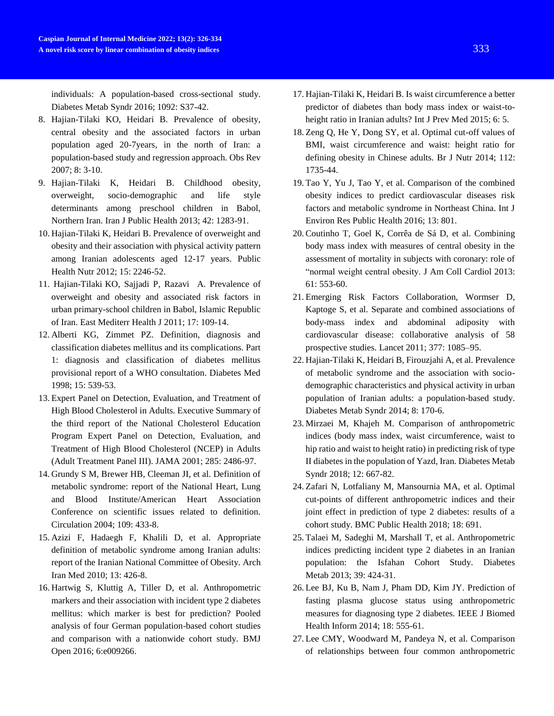individuals: A population-based cross-sectional study. Diabetes Metab Syndr 2016; 1092: S37-42.

- 8. Hajian-Tilaki KO, Heidari B. Prevalence of obesity, central obesity and the associated factors in urban population aged 20-7years, in the north of Iran: a population-based study and regression approach. Obs Rev 2007; 8: 3-10.
- 9. Hajian-Tilaki K, Heidari B. Childhood obesity, overweight, socio-demographic and life style determinants among preschool children in Babol, Northern Iran. Iran J Public Health 2013; 42: 1283-91.
- 10. Hajian-Tilaki K, Heidari B. Prevalence of overweight and obesity and their association with physical activity pattern among Iranian adolescents aged 12-17 years. Public Health Nutr 2012; 15: 2246-52.
- 11. [Hajian-Tilaki](https://pubmed.ncbi.nlm.nih.gov/?term=Hajian-Tilaki+KO&cauthor_id=21735944) KO, [Sajjadi](https://pubmed.ncbi.nlm.nih.gov/?term=Sajjadi+P&cauthor_id=21735944) P, [Razavi](https://pubmed.ncbi.nlm.nih.gov/?term=Razavi+A&cauthor_id=21735944) A. Prevalence of overweight and obesity and associated risk factors in urban primary-school children in Babol, Islamic Republic of Iran. East Mediterr Health J 2011; 17: 109-14.
- 12. Alberti KG, Zimmet PZ. Definition, diagnosis and classification diabetes mellitus and its complications. Part 1: diagnosis and classification of diabetes mellitus provisional report of a WHO consultation. Diabetes Med 1998; 15: 539-53.
- 13. Expert Panel on Detection, Evaluation, and Treatment of High Blood Cholesterol in Adults. Executive Summary of the third report of the National Cholesterol Education Program Expert Panel on Detection, Evaluation, and Treatment of High Blood Cholesterol (NCEP) in Adults (Adult Treatment Panel III). JAMA 2001; 285: 2486-97.
- 14. Grundy S M, Brewer HB, Cleeman JI, et al. Definition of metabolic syndrome: report of the National Heart, Lung and Blood Institute/American Heart Association Conference on scientific issues related to definition. Circulation 2004; 109: 433-8.
- 15. [Azizi F,](https://www.ncbi.nlm.nih.gov/pubmed/?term=Azizi%20F%5BAuthor%5D&cauthor=true&cauthor_uid=20804311) [Hadaegh F,](https://www.ncbi.nlm.nih.gov/pubmed/?term=Hadaegh%20F%5BAuthor%5D&cauthor=true&cauthor_uid=20804311) [Khalili D,](https://www.ncbi.nlm.nih.gov/pubmed/?term=Khalili%20D%5BAuthor%5D&cauthor=true&cauthor_uid=20804311) et al. Appropriate definition of metabolic syndrome among Iranian adults: report of the Iranian National Committee of Obesity. [Arch](https://www.ncbi.nlm.nih.gov/pubmed/?term=Iranian+National+committee+of+obesity+and+definition+of+metabolic+syndrome)  [Iran Med](https://www.ncbi.nlm.nih.gov/pubmed/?term=Iranian+National+committee+of+obesity+and+definition+of+metabolic+syndrome) 2010; 13: 426-8.
- 16. [Hartwig](https://www.ncbi.nlm.nih.gov/pubmed/?term=Hartwig%20S%5BAuthor%5D&cauthor=true&cauthor_uid=26792214) S, [Kluttig](https://www.ncbi.nlm.nih.gov/pubmed/?term=Kluttig%20A%5BAuthor%5D&cauthor=true&cauthor_uid=26792214) A, [Tiller](https://www.ncbi.nlm.nih.gov/pubmed/?term=Tiller%20D%5BAuthor%5D&cauthor=true&cauthor_uid=26792214) D, et al. Anthropometric markers and their association with incident type 2 diabetes mellitus: which marker is best for prediction? Pooled analysis of four German population-based cohort studies and comparison with a nationwide cohort study. [BMJ](https://www.ncbi.nlm.nih.gov/pmc/articles/PMC4735317/)  [Open](https://www.ncbi.nlm.nih.gov/pmc/articles/PMC4735317/) 2016; 6:e009266.
- 17. Hajian-Tilaki K, Heidari B[. Is waist circumference a better](http://www.ncbi.nlm.nih.gov/pubmed/25789140)  [predictor of diabetes than body mass index or waist-to](http://www.ncbi.nlm.nih.gov/pubmed/25789140)[height ratio in Iranian adults?](http://www.ncbi.nlm.nih.gov/pubmed/25789140) Int J Prev Med 2015; 6: 5.
- 18. Zeng Q, He Y, Dong SY, et al. Optimal cut-off values of BMI, waist circumference and waist: height ratio for defining obesity in Chinese adults. Br J Nutr 2014; 112: 1735-44.
- 19. Tao Y, Yu J, Tao Y, et al. Comparison of the combined obesity indices to predict cardiovascular diseases risk factors and metabolic syndrome in Northeast China. Int J Environ Res Public Health 2016; 13: 801.
- 20. Coutinho T, Goel K, Corrêa de Sá D, et al. Combining body mass index with measures of central obesity in the assessment of mortality in subjects with coronary: role of "normal weight central obesity. [J Am Coll Cardiol](https://www.sciencedirect.com/science/journal/07351097) 2013: 61: 553-60.
- 21. Emerging Risk Factors Collaboration, Wormser D, Kaptoge S, et al. Separate and combined associations of body-mass index and abdominal adiposity with cardiovascular disease: collaborative analysis of 58 prospective studies. Lancet 2011; 377: 1085–95.
- 22. Hajian-Tilaki K, Heidari B, Firouzjahi A, et al[. Prevalence](https://www.ncbi.nlm.nih.gov/pubmed/25220921)  [of metabolic syndrome and the association with socio](https://www.ncbi.nlm.nih.gov/pubmed/25220921)[demographic characteristics and physical activity in urban](https://www.ncbi.nlm.nih.gov/pubmed/25220921)  [population of Iranian adults: a population-based study.](https://www.ncbi.nlm.nih.gov/pubmed/25220921) Diabetes Metab Syndr 2014; 8: 170-6.
- 23. Mirzaei M, Khajeh M. Comparison of anthropometric indices (body mass index, waist circumference, waist to hip ratio and waist to height ratio) in predicting risk of type II diabetes in the population of Yazd, Iran. Diabetes Metab Syndr 2018; 12: 667-82.
- 24. Zafari N, Lotfaliany M, Mansournia MA, et al. Optimal cut-points of different anthropometric indices and their joint effect in prediction of type 2 diabetes: results of a cohort study. BMC Public Health 2018; 18: 691.
- 25. Talaei M, Sadeghi M, Marshall T, et al. Anthropometric indices predicting incident type 2 diabetes in an Iranian population: the Isfahan Cohort Study. [Diabetes](https://www.ncbi.nlm.nih.gov/pubmed/23867722)  [Metab](https://www.ncbi.nlm.nih.gov/pubmed/23867722) 2013; 39: 424-31.
- 26. [Lee BJ,](https://www.ncbi.nlm.nih.gov/pubmed/?term=Lee%20BJ%5BAuthor%5D&cauthor=true&cauthor_uid=24608055) [Ku B,](https://www.ncbi.nlm.nih.gov/pubmed/?term=Ku%20B%5BAuthor%5D&cauthor=true&cauthor_uid=24608055) [Nam J,](https://www.ncbi.nlm.nih.gov/pubmed/?term=Nam%20J%5BAuthor%5D&cauthor=true&cauthor_uid=24608055) [Pham DD,](https://www.ncbi.nlm.nih.gov/pubmed/?term=Pham%20DD%5BAuthor%5D&cauthor=true&cauthor_uid=24608055) [Kim JY.](https://www.ncbi.nlm.nih.gov/pubmed/?term=Kim%20JY%5BAuthor%5D&cauthor=true&cauthor_uid=24608055) Prediction of fasting plasma glucose status using anthropometric measures for diagnosing type 2 diabetes. [IEEE J Biomed](https://www.ncbi.nlm.nih.gov/pubmed/24608055)  [Health Inform](https://www.ncbi.nlm.nih.gov/pubmed/24608055) 2014; 18: 555-61.
- 27. [Lee CMY,](https://www.ncbi.nlm.nih.gov/pubmed/?term=Lee%20CMY%5BAuthor%5D&cauthor=true&cauthor_uid=28783531) [Woodward M,](https://www.ncbi.nlm.nih.gov/pubmed/?term=Woodward%20M%5BAuthor%5D&cauthor=true&cauthor_uid=28783531) [Pandeya N,](https://www.ncbi.nlm.nih.gov/pubmed/?term=Pandeya%20N%5BAuthor%5D&cauthor=true&cauthor_uid=28783531) et al. Comparison of relationships between four common anthropometric